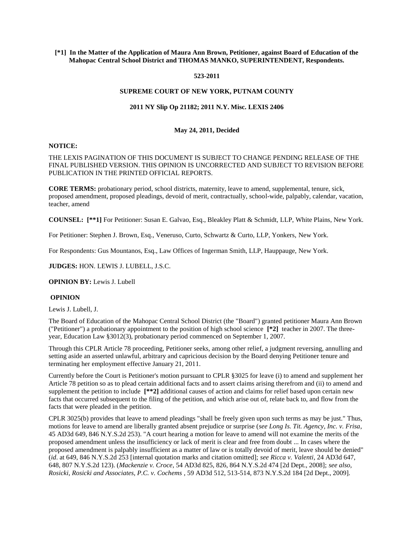## **[\*1] In the Matter of the Application of Maura Ann Brown, Petitioner, against Board of Education of the Mahopac Central School District and THOMAS MANKO, SUPERINTENDENT, Respondents.**

#### **523-2011**

## **SUPREME COURT OF NEW YORK, PUTNAM COUNTY**

# **2011 NY Slip Op 21182; 2011 N.Y. Misc. LEXIS 2406**

## **May 24, 2011, Decided**

#### **NOTICE:**

# THE LEXIS PAGINATION OF THIS DOCUMENT IS SUBJECT TO CHANGE PENDING RELEASE OF THE FINAL PUBLISHED VERSION. THIS OPINION IS UNCORRECTED AND SUBJECT TO REVISION BEFORE PUBLICATION IN THE PRINTED OFFICIAL REPORTS.

**CORE TERMS:** probationary period, school districts, maternity, leave to amend, supplemental, tenure, sick, proposed amendment, proposed pleadings, devoid of merit, contractually, school-wide, palpably, calendar, vacation, teacher, amend

**COUNSEL: [\*\*1]** For Petitioner: Susan E. Galvao, Esq., Bleakley Platt & Schmidt, LLP, White Plains, New York.

For Petitioner: Stephen J. Brown, Esq., Veneruso, Curto, Schwartz & Curto, LLP, Yonkers, New York.

For Respondents: Gus Mountanos, Esq., Law Offices of Ingerman Smith, LLP, Hauppauge, New York.

**JUDGES:** HON. LEWIS J. LUBELL, J.S.C.

**OPINION BY:** Lewis J. Lubell

#### **OPINION**

Lewis J. Lubell, J.

The Board of Education of the Mahopac Central School District (the "Board") granted petitioner Maura Ann Brown ("Petitioner") a probationary appointment to the position of high school science **[\*2]** teacher in 2007. The threeyear, Education Law §3012(3), probationary period commenced on September 1, 2007.

Through this CPLR Article 78 proceeding, Petitioner seeks, among other relief, a judgment reversing, annulling and setting aside an asserted unlawful, arbitrary and capricious decision by the Board denying Petitioner tenure and terminating her employment effective January 21, 2011.

Currently before the Court is Petitioner's motion pursuant to CPLR §3025 for leave (i) to amend and supplement her Article 78 petition so as to plead certain additional facts and to assert claims arising therefrom and (ii) to amend and supplement the petition to include **[\*\*2]** additional causes of action and claims for relief based upon certain new facts that occurred subsequent to the filing of the petition, and which arise out of, relate back to, and flow from the facts that were pleaded in the petition.

CPLR 3025(b) provides that leave to amend pleadings "shall be freely given upon such terms as may be just." Thus, motions for leave to amend are liberally granted absent prejudice or surprise (*see Long Is. Tit. Agency, Inc. v. Frisa*, 45 AD3d 649, 846 N.Y.S.2d 253). "A court hearing a motion for leave to amend will not examine the merits of the proposed amendment unless the insufficiency or lack of merit is clear and free from doubt ... In cases where the proposed amendment is palpably insufficient as a matter of law or is totally devoid of merit, leave should be denied" (*id*. at 649, 846 N.Y.S.2d 253 [internal quotation marks and citation omitted]; *see Ricca v. Valenti*, 24 AD3d 647, 648, 807 N.Y.S.2d 123). (*Mackenzie v. Croce*, 54 AD3d 825, 826, 864 N.Y.S.2d 474 [2d Dept., 2008]; *see also, Rosicki, Rosicki and Associates, P.C. v. Cochems* , 59 AD3d 512, 513-514, 873 N.Y.S.2d 184 [2d Dept., 2009].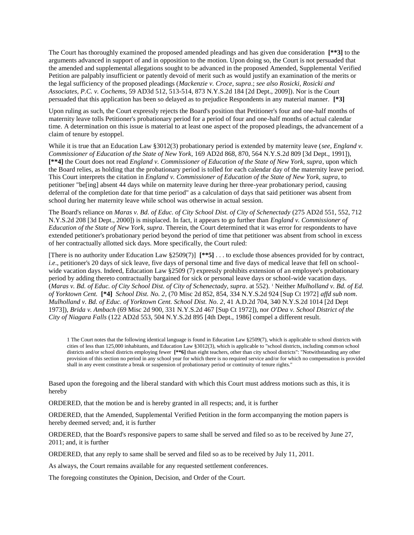The Court has thoroughly examined the proposed amended pleadings and has given due consideration **[\*\*3]** to the arguments advanced in support of and in opposition to the motion. Upon doing so, the Court is not persuaded that the amended and supplemental allegations sought to be advanced in the proposed Amended, Supplemental Verified Petition are palpably insufficient or patently devoid of merit such as would justify an examination of the merits or the legal sufficiency of the proposed pleadings (*Mackenzie v. Croce, supra*.; *see also Rosicki, Rosicki and Associates, P.C. v. Cochems*, 59 AD3d 512, 513-514, 873 N.Y.S.2d 184 [2d Dept., 2009]). Nor is the Court persuaded that this application has been so delayed as to prejudice Respondents in any material manner. **[\*3]**

Upon ruling as such, the Court expressly rejects the Board's position that Petitioner's four and one-half months of maternity leave tolls Petitioner's probationary period for a period of four and one-half months of actual calendar time. A determination on this issue is material to at least one aspect of the proposed pleadings, the advancement of a claim of tenure by estoppel.

While it is true that an Education Law §3012(3) probationary period is extended by maternity leave (*see, England v. Commissioner of Education of the State of New York*, 169 AD2d 868, 870, 564 N.Y.S.2d 809 [3d Dept., 1991]), **[\*\*4]** the Court does not read *England v. Commissioner of Education of the State of New York, supra*, upon which the Board relies, as holding that the probationary period is tolled for each calendar day of the maternity leave period. This Court interprets the citation in *England v. Commissioner of Education of the State of New York, supra*, to petitioner "be[ing] absent 44 days while on maternity leave during her three-year probationary period, causing deferral of the completion date for that time period" as a calculation of days that said petitioner was absent from school during her maternity leave while school was otherwise in actual session.

The Board's reliance on *Maras v. Bd. of Educ. of City School Dist. of City of Schenectady* (275 AD2d 551, 552, 712 N.Y.S.2d 208 [3d Dept., 2000]) is misplaced. In fact, it appears to go further than *England v. Commissioner of Education of the State of New York, supra*. Therein, the Court determined that it was error for respondents to have extended petitioner's probationary period beyond the period of time that petitioner was absent from school in excess of her contractually allotted sick days. More specifically, the Court ruled:

[There is no authority under Education Law §2509(7)] **[\*\*5]** . . . to exclude those absences provided for by contract, *i.e.*, petitioner's 20 days of sick leave, five days of personal time and five days of medical leave that fell on schoolwide vacation days. Indeed, Education Law §2509 (7) expressly prohibits extension of an employee's probationary period by adding thereto contractually bargained for sick or personal leave days or school-wide vacation days. (*Maras v. Bd. of Educ. of City School Dist. of City of Schenectady, supra*. at 552). <sup>1</sup> Neither *Mulholland v. Bd. of Ed. of Yorktown Cent.* **[\*4]** *School Dist. No. 2*, (70 Misc 2d 852, 854, 334 N.Y.S.2d 924 [Sup Ct 1972] *affd sub nom*. *Mulholland v. Bd. of Educ. of Yorktown Cent. School Dist. No. 2*, 41 A.D.2d 704, 340 N.Y.S.2d 1014 [2d Dept 1973]), *Brida v. Ambach* (69 Misc 2d 900, 331 N.Y.S.2d 467 [Sup Ct 1972]), nor *O'Dea v. School District of the City of Niagara Falls* (122 AD2d 553, 504 N.Y.S.2d 895 [4th Dept., 1986] compel a different result.

1 The Court notes that the following identical language is found in Education Law §2509(7), which is applicable to school districts with cities of less than 125,000 inhabitants, and Education Law §3012(3), which is applicable to "school districts, including common school districts and/or school districts employing fewer **[\*\*6]** than eight teachers, other than city school districts": "Notwithstanding any other provision of this section no period in any school year for which there is no required service and/or for which no compensation is provided shall in any event constitute a break or suspension of probationary period or continuity of tenure rights."

Based upon the foregoing and the liberal standard with which this Court must address motions such as this, it is hereby

ORDERED, that the motion be and is hereby granted in all respects; and, it is further

ORDERED, that the Amended, Supplemental Verified Petition in the form accompanying the motion papers is hereby deemed served; and, it is further

ORDERED, that the Board's responsive papers to same shall be served and filed so as to be received by June 27, 2011; and, it is further

ORDERED, that any reply to same shall be served and filed so as to be received by July 11, 2011.

As always, the Court remains available for any requested settlement conferences.

The foregoing constitutes the Opinion, Decision, and Order of the Court.